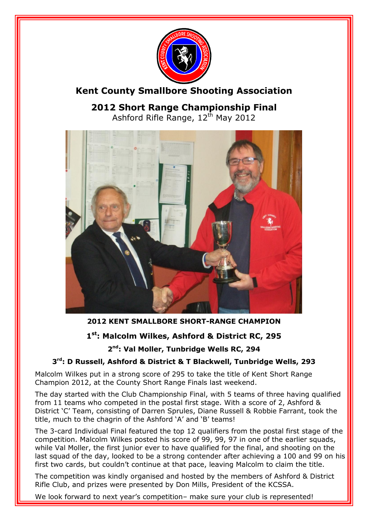

# **Kent County Smallbore Shooting Association**

**2012 Short Range Championship Final** Ashford Rifle Range, 12th May 2012



## **2012 KENT SMALLBORE SHORT-RANGE CHAMPION**

## **1 st: Malcolm Wilkes, Ashford & District RC, 295**

**2 nd: Val Moller, Tunbridge Wells RC, 294**

#### **3 rd: D Russell, Ashford & District & T Blackwell, Tunbridge Wells, 293**

Malcolm Wilkes put in a strong score of 295 to take the title of Kent Short Range Champion 2012, at the County Short Range Finals last weekend.

The day started with the Club Championship Final, with 5 teams of three having qualified from 11 teams who competed in the postal first stage. With a score of 2, Ashford & District 'C' Team, consisting of Darren Sprules, Diane Russell & Robbie Farrant, took the title, much to the chagrin of the Ashford 'A' and 'B' teams!

The 3-card Individual Final featured the top 12 qualifiers from the postal first stage of the competition. Malcolm Wilkes posted his score of 99, 99, 97 in one of the earlier squads, while Val Moller, the first junior ever to have qualified for the final, and shooting on the last squad of the day, looked to be a strong contender after achieving a 100 and 99 on his first two cards, but couldn't continue at that pace, leaving Malcolm to claim the title.

The competition was kindly organised and hosted by the members of Ashford & District Rifle Club, and prizes were presented by Don Mills, President of the KCSSA.

We look forward to next year's competition- make sure your club is represented!